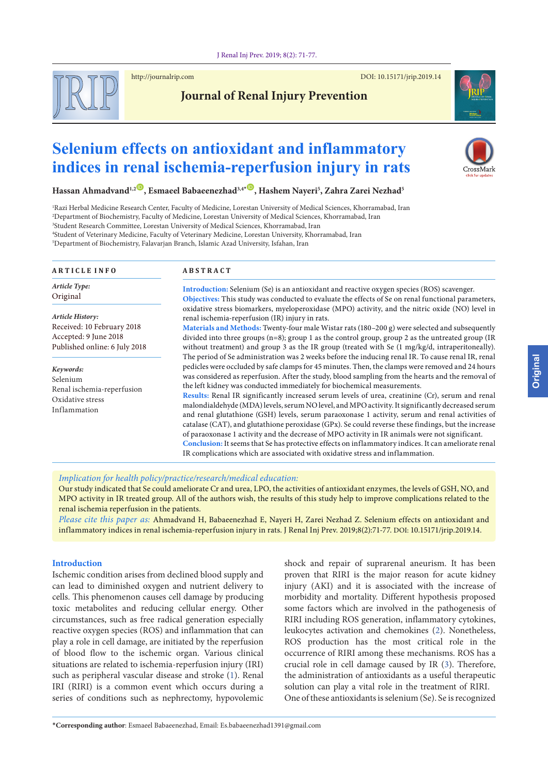

http://journalrip.com DOI: [10.15171/jrip.2019.1](http://dx.doi.org/10.15171/jrip.2019.02)4



# **Journal of Renal Injury Prevention**

# **Selenium effects on antioxidant and inflammatory indices in renal ischemia-reperfusion injury in rats**



**Hassan Ahmadvand1,2** [ID](https://orcid.org/0000-0002-9406-3592) **, Esmaeel Babaeenezhad3,4\*** [ID](https://orcid.org/0000-0003-2549-7802) **, Hashem Nayeri5 , Zahra Zarei Nezhad5**

 Razi Herbal Medicine Research Center, Faculty of Medicine, Lorestan University of Medical Sciences, Khorramabad, Iran Department of Biochemistry, Faculty of Medicine, Lorestan University of Medical Sciences, Khorramabad, Iran Student Research Committee, Lorestan University of Medical Sciences, Khorramabad, Iran Student of Veterinary Medicine, Faculty of Veterinary Medicine, Lorestan University, Khorramabad, Iran Department of Biochemistry, Falavarjan Branch, Islamic Azad University, Isfahan, Iran

| <b>ARTICLE INFO</b>                                                     | <b>ABSTRACT</b>                                                                                                                                                                                                                                                                                                                                                                                                |  |  |
|-------------------------------------------------------------------------|----------------------------------------------------------------------------------------------------------------------------------------------------------------------------------------------------------------------------------------------------------------------------------------------------------------------------------------------------------------------------------------------------------------|--|--|
| Article Type:<br>Original                                               | <b>Introduction:</b> Selenium (Se) is an antioxidant and reactive oxygen species (ROS) scavenger.<br>Objectives: This study was conducted to evaluate the effects of Se on renal functional parameters,                                                                                                                                                                                                        |  |  |
| Article History:<br>Received: 10 February 2018<br>Accepted: 9 June 2018 | oxidative stress biomarkers, myeloperoxidase (MPO) activity, and the nitric oxide (NO) level in<br>renal ischemia-reperfusion (IR) injury in rats.<br>Materials and Methods: Twenty-four male Wistar rats (180-200 g) were selected and subsequently<br>divided into three groups $(n=8)$ ; group 1 as the control group, group 2 as the untreated group (IR                                                   |  |  |
| Published online: 6 July 2018                                           | without treatment) and group 3 as the IR group (treated with Se (1 mg/kg/d, intraperitoneally).<br>The period of Se administration was 2 weeks before the inducing renal IR. To cause renal IR, renal                                                                                                                                                                                                          |  |  |
| Keywords:<br>Selenium<br>Renal ischemia-reperfusion                     | pedicles were occluded by safe clamps for 45 minutes. Then, the clamps were removed and 24 hours<br>was considered as reperfusion. After the study, blood sampling from the hearts and the removal of<br>the left kidney was conducted immediately for biochemical measurements.                                                                                                                               |  |  |
| Oxidative stress<br>Inflammation                                        | Results: Renal IR significantly increased serum levels of urea, creatinine (Cr), serum and renal<br>malondialdehyde (MDA) levels, serum NO level, and MPO activity. It significantly decreased serum<br>and renal glutathione (GSH) levels, serum paraoxonase 1 activity, serum and renal activities of<br>catalase (CAT), and glutathione peroxidase (GPx). Se could reverse these findings, but the increase |  |  |
|                                                                         | of paraoxonase 1 activity and the decrease of MPO activity in IR animals were not significant.<br>Conclusion: It seems that Se has protective effects on inflammatory indices. It can ameliorate renal<br>IR complications which are associated with oxidative stress and inflammation.                                                                                                                        |  |  |

#### *Implication for health policy/practice/research/medical education:*

Our study indicated that Se could ameliorate Cr and urea, LPO, the activities of antioxidant enzymes, the levels of GSH, NO, and MPO activity in IR treated group. All of the authors wish, the results of this study help to improve complications related to the renal ischemia reperfusion in the patients.

*Please cite this paper as:* Ahmadvand H, Babaeenezhad E, Nayeri H, Zarei Nezhad Z. Selenium effects on antioxidant and inflammatory indices in renal ischemia-reperfusion injury in rats. J Renal Inj Prev. 2019;8(2):71-77. DOI: 10.15171/jrip.2019.14.

# **Introduction**

Ischemic condition arises from declined blood supply and can lead to diminished oxygen and nutrient delivery to cells. This phenomenon causes cell damage by producing toxic metabolites and reducing cellular energy. Other circumstances, such as free radical generation especially reactive oxygen species (ROS) and inflammation that can play a role in cell damage, are initiated by the reperfusion of blood flow to the ischemic organ. Various clinical situations are related to ischemia-reperfusion injury (IRI) such as peripheral vascular disease and stroke ([1\)](#page-5-0). Renal IRI (RIRI) is a common event which occurs during a series of conditions such as nephrectomy, hypovolemic

shock and repair of suprarenal aneurism. It has been proven that RIRI is the major reason for acute kidney injury (AKI) and it is associated with the increase of morbidity and mortality. Different hypothesis proposed some factors which are involved in the pathogenesis of RIRI including ROS generation, inflammatory cytokines, leukocytes activation and chemokines [\(2\)](#page-5-1). Nonetheless, ROS production has the most critical role in the occurrence of RIRI among these mechanisms. ROS has a crucial role in cell damage caused by IR ([3\)](#page-5-2). Therefore, the administration of antioxidants as a useful therapeutic solution can play a vital role in the treatment of RIRI. One of these antioxidants is selenium (Se). Se is recognized

**Drigina**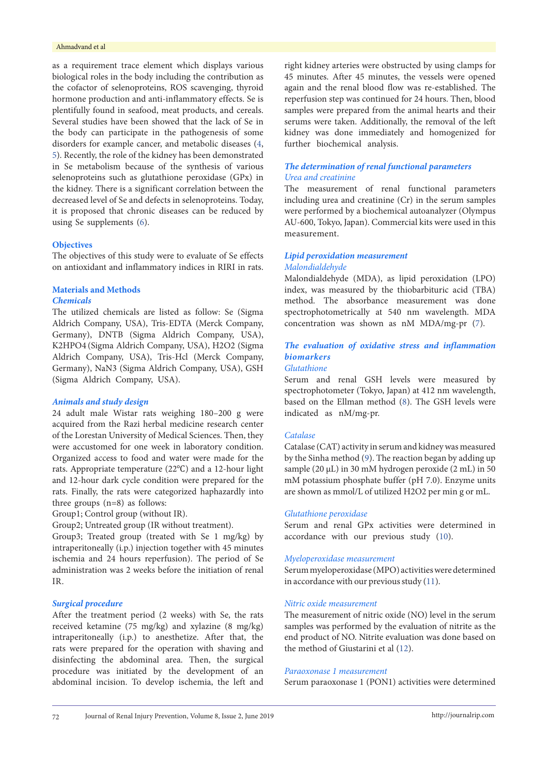#### Ahmadvand et al

as a requirement trace element which displays various biological roles in the body including the contribution as the cofactor of selenoproteins, ROS scavenging, thyroid hormone production and anti-inflammatory effects. Se is plentifully found in seafood, meat products, and cereals. Several studies have been showed that the lack of Se in the body can participate in the pathogenesis of some disorders for example cancer, and metabolic diseases [\(4](#page-5-3), [5](#page-5-4)). Recently, the role of the kidney has been demonstrated in Se metabolism because of the synthesis of various selenoproteins such as glutathione peroxidase (GPx) in the kidney. There is a significant correlation between the decreased level of Se and defects in selenoproteins. Today, it is proposed that chronic diseases can be reduced by using Se supplements ([6\)](#page-5-5).

#### **Objectives**

The objectives of this study were to evaluate of Se effects on antioxidant and inflammatory indices in RIRI in rats.

#### **Materials and Methods** *Chemicals*

The utilized chemicals are listed as follow: Se (Sigma Aldrich Company, USA), Tris-EDTA (Merck Company, Germany), DNTB (Sigma Aldrich Company, USA), K2HPO4 (Sigma Aldrich Company, USA), H2O2 (Sigma Aldrich Company, USA), Tris-Hcl (Merck Company, Germany), NaN3 (Sigma Aldrich Company, USA), GSH (Sigma Aldrich Company, USA).

#### *Animals and study design*

24 adult male Wistar rats weighing 180–200 g were acquired from the Razi herbal medicine research center of the Lorestan University of Medical Sciences. Then, they were accustomed for one week in laboratory condition. Organized access to food and water were made for the rats. Appropriate temperature (22℃) and a 12-hour light and 12-hour dark cycle condition were prepared for the rats. Finally, the rats were categorized haphazardly into three groups (n=8) as follows:

Group1; Control group (without IR).

Group2; Untreated group (IR without treatment).

Group3; Treated group (treated with Se 1 mg/kg) by intraperitoneally (i.p.) injection together with 45 minutes ischemia and 24 hours reperfusion). The period of Se administration was 2 weeks before the initiation of renal IR.

#### *Surgical procedure*

After the treatment period (2 weeks) with Se, the rats received ketamine (75 mg/kg) and xylazine (8 mg/kg) intraperitoneally (i.p.) to anesthetize. After that, the rats were prepared for the operation with shaving and disinfecting the abdominal area. Then, the surgical procedure was initiated by the development of an abdominal incision. To develop ischemia, the left and right kidney arteries were obstructed by using clamps for 45 minutes. After 45 minutes, the vessels were opened again and the renal blood flow was re-established. The reperfusion step was continued for 24 hours. Then, blood samples were prepared from the animal hearts and their serums were taken. Additionally, the removal of the left kidney was done immediately and homogenized for further biochemical analysis.

# *The determination of renal functional parameters Urea and creatinine*

The measurement of renal functional parameters including urea and creatinine (Cr) in the serum samples were performed by a biochemical autoanalyzer (Olympus AU-600, Tokyo, Japan). Commercial kits were used in this measurement.

# *Lipid peroxidation measurement Malondialdehyde*

Malondialdehyde (MDA), as lipid peroxidation (LPO) index, was measured by the thiobarbituric acid (TBA) method. The absorbance measurement was done spectrophotometrically at 540 nm wavelength. MDA concentration was shown as nM MDA/mg-pr ([7](#page-5-6)).

# *The evaluation of oxidative stress and inflammation biomarkers*

# *Glutathione*

Serum and renal GSH levels were measured by spectrophotometer (Tokyo, Japan) at 412 nm wavelength, based on the Ellman method [\(8](#page-5-7)). The GSH levels were indicated as nM/mg-pr.

#### *Catalase*

Catalase (CAT) activity in serum and kidney was measured by the Sinha method [\(9](#page-5-8)). The reaction began by adding up sample (20 μL) in 30 mM hydrogen peroxide (2 mL) in 50 mM potassium phosphate buffer (pH 7.0). Enzyme units are shown as mmol/L of utilized H2O2 per min g or mL.

#### *Glutathione peroxidase*

Serum and renal GPx activities were determined in accordance with our previous study [\(10\)](#page-5-9).

#### *Myeloperoxidase measurement*

Serum myeloperoxidase (MPO) activities were determined in accordance with our previous study [\(11\)](#page-5-10).

#### *Nitric oxide measurement*

The measurement of nitric oxide (NO) level in the serum samples was performed by the evaluation of nitrite as the end product of NO. Nitrite evaluation was done based on the method of Giustarini et al [\(12\)](#page-5-11).

#### *Paraoxonase 1 measurement*

Serum paraoxonase 1 (PON1) activities were determined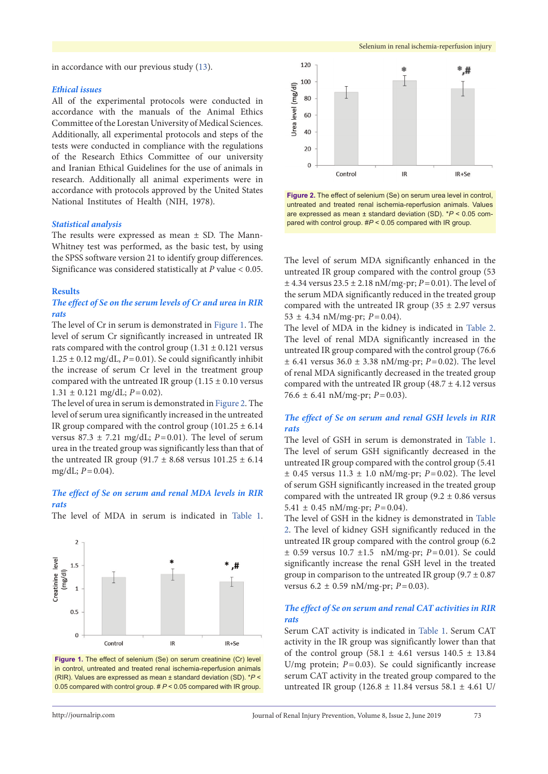in accordance with our previous study ([13](#page-5-12)).

#### *Ethical issues*

All of the experimental protocols were conducted in accordance with the manuals of the Animal Ethics Committee of the Lorestan University of Medical Sciences. Additionally, all experimental protocols and steps of the tests were conducted in compliance with the regulations of the Research Ethics Committee of our university and Iranian Ethical Guidelines for the use of animals in research. Additionally all animal experiments were in accordance with protocols approved by the United States National Institutes of Health (NIH, 1978).

#### *Statistical analysis*

The results were expressed as mean ± SD. The Mann-Whitney test was performed, as the basic test, by using the SPSS software version 21 to identify group differences. Significance was considered statistically at *P* value < 0.05.

# **Results**

# *The effect of Se on the serum levels of Cr and urea in RIR rats*

The level of Cr in serum is demonstrated in [Figure](#page-2-0) 1. The level of serum Cr significantly increased in untreated IR rats compared with the control group  $(1.31 \pm 0.121$  versus  $1.25 \pm 0.12$  mg/dL,  $P = 0.01$ ). Se could significantly inhibit the increase of serum Cr level in the treatment group compared with the untreated IR group  $(1.15 \pm 0.10 \text{ versus}$  $1.31 \pm 0.121$  mg/dL;  $P=0.02$ ).

The level of urea in serum is demonstrated in [Figure](#page-2-1) 2. The level of serum urea significantly increased in the untreated IR group compared with the control group  $(101.25 \pm 6.14)$ versus 87.3  $\pm$  7.21 mg/dL; *P*=0.01). The level of serum urea in the treated group was significantly less than that of the untreated IR group (91.7  $\pm$  8.68 versus 101.25  $\pm$  6.14 mg/dL;  $P = 0.04$ ).

### *The effect of Se on serum and renal MDA levels in RIR rats*

<span id="page-2-0"></span>The level of MDA in serum is indicated in [Table](#page-3-0) 1.





<span id="page-2-1"></span>

**Figure 2.** The effect of selenium (Se) on serum urea level in control, untreated and treated renal ischemia-reperfusion animals. Values are expressed as mean ± standard deviation (SD). \**P* < 0.05 compared with control group. #*P* < 0.05 compared with IR group.

The level of serum MDA significantly enhanced in the untreated IR group compared with the control group (53 ± 4.34 versus 23.5 ± 2.18 nM/mg-pr; *P*=0.01). The level of the serum MDA significantly reduced in the treated group compared with the untreated IR group ( $35 \pm 2.97$  versus  $53 \pm 4.34$  nM/mg-pr;  $P=0.04$ ).

The level of MDA in the kidney is indicated in [Table](#page-3-1) 2. The level of renal MDA significantly increased in the untreated IR group compared with the control group (76.6  $\pm$  6.41 versus 36.0  $\pm$  3.38 nM/mg-pr; *P* = 0.02). The level of renal MDA significantly decreased in the treated group compared with the untreated IR group  $(48.7 \pm 4.12 \text{ versus}$ 76.6 ± 6.41 nM/mg-pr; *P*=0.03).

# *The effect of Se on serum and renal GSH levels in RIR rats*

The level of GSH in serum is demonstrated in [Table](#page-3-0) 1. The level of serum GSH significantly decreased in the untreated IR group compared with the control group (5.41  $\pm$  0.45 versus 11.3  $\pm$  1.0 nM/mg-pr; *P* = 0.02). The level of serum GSH significantly increased in the treated group compared with the untreated IR group (9.2  $\pm$  0.86 versus 5.41  $\pm$  0.45 nM/mg-pr;  $P = 0.04$ ).

The level of GSH in the kidney is demonstrated in [Table](#page-3-1) [2.](#page-3-1) The level of kidney GSH significantly reduced in the untreated IR group compared with the control group (6.2 ± 0.59 versus 10.7 ±1.5 nM/mg-pr; *P*=0.01). Se could significantly increase the renal GSH level in the treated group in comparison to the untreated IR group  $(9.7 \pm 0.87)$ versus 6.2 ± 0.59 nM/mg-pr; *P*=0.03).

# *The effect of Se on serum and renal CAT activities in RIR rats*

Serum CAT activity is indicated in [Table](#page-3-0) 1. Serum CAT activity in the IR group was significantly lower than that of the control group (58.1  $\pm$  4.61 versus 140.5  $\pm$  13.84 U/mg protein;  $P=0.03$ ). Se could significantly increase serum CAT activity in the treated group compared to the untreated IR group (126.8 ± 11.84 versus 58.1 ± 4.61 U/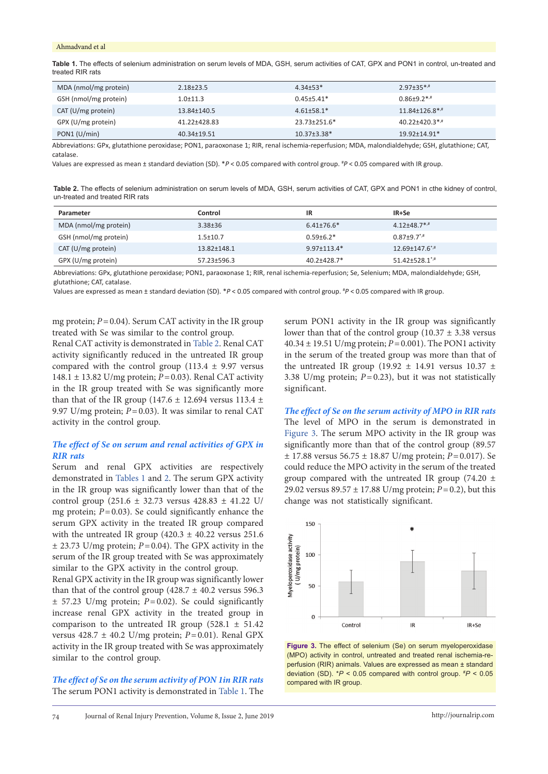#### Ahmadvand et al

<span id="page-3-0"></span>**Table 1.** The effects of selenium administration on serum levels of MDA, GSH, serum activities of CAT, GPX and PON1 in control, un-treated and treated RIR rats

| MDA (nmol/mg protein) | $2.18 + 23.5$  | $4.34 \pm 53*$     | $2.97 \pm 35$ <sup>*,#</sup> |
|-----------------------|----------------|--------------------|------------------------------|
| GSH (nmol/mg protein) | $1.0 \pm 11.3$ | $0.45 + 5.41*$     | $0.86 \pm 9.2$ */*           |
| CAT (U/mg protein)    | 13.84±140.5    | $4.61 \pm 58.1*$   | $11.84 \pm 126.8$ *,#        |
| GPX (U/mg protein)    | 41.22±428.83   | 23.73±251.6*       | $40.22 \pm 420.3$ *,#        |
| PON1 (U/min)          | 40.34±19.51    | $10.37 \pm 3.38$ * | 19.92±14.91*                 |

Abbreviations: GPx, glutathione peroxidase; PON1, paraoxonase 1; RIR, renal ischemia-reperfusion; MDA, malondialdehyde; GSH, glutathione; CAT, catalase.

Values are expressed as mean ± standard deviation (SD). \**P* < 0.05 compared with control group. # *P* < 0.05 compared with IR group.

<span id="page-3-1"></span>**Table 2.** The effects of selenium administration on serum levels of MDA, GSH, serum activities of CAT, GPX and PON1 in cthe kidney of control, un-treated and treated RIR rats

| Parameter             | Control        | ΙR              | IR+Se                             |
|-----------------------|----------------|-----------------|-----------------------------------|
| MDA (nmol/mg protein) | $3.38 \pm 36$  | $6.41\pm76.6*$  | $4.12{\pm}48.7^*$                 |
| GSH (nmol/mg protein) | $1.5 \pm 10.7$ | $0.59 \pm 6.2*$ | $0.87 + 9.7$ <sup>*,#</sup>       |
| CAT (U/mg protein)    | 13.82±148.1    | $9.97 + 113.4*$ | $12.69 \pm 147.6$ *,#             |
| GPX (U/mg protein)    | 57.23±596.3    | $40.2 + 428.7*$ | $51.42 \pm 528.1$ <sup>*</sup> .# |

Abbreviations: GPx, glutathione peroxidase; PON1, paraoxonase 1; RIR, renal ischemia-reperfusion; Se, Selenium; MDA, malondialdehyde; GSH, glutathione; CAT, catalase.

Values are expressed as mean ± standard deviation (SD). \**P* < 0.05 compared with control group. # *P* < 0.05 compared with IR group.

mg protein; *P*=0.04). Serum CAT activity in the IR group treated with Se was similar to the control group.

Renal CAT activity is demonstrated in [Table](#page-3-1) 2. Renal CAT activity significantly reduced in the untreated IR group compared with the control group  $(113.4 \pm 9.97 \text{ versus}$ 148.1 ± 13.82 U/mg protein; *P*=0.03). Renal CAT activity in the IR group treated with Se was significantly more than that of the IR group (147.6  $\pm$  12.694 versus 113.4  $\pm$ 9.97 U/mg protein; *P*=0.03). It was similar to renal CAT activity in the control group.

# *The effect of Se on serum and renal activities of GPX in RIR rats*

Serum and renal GPX activities are respectively demonstrated in [Tables](#page-3-0) 1 and [2](#page-3-1). The serum GPX activity in the IR group was significantly lower than that of the control group (251.6 ± 32.73 versus 428.83 ± 41.22 U/ mg protein; *P*=0.03). Se could significantly enhance the serum GPX activity in the treated IR group compared with the untreated IR group  $(420.3 \pm 40.22 \text{ versus } 251.6$ ± 23.73 U/mg protein; *P*=0.04). The GPX activity in the serum of the IR group treated with Se was approximately similar to the GPX activity in the control group.

Renal GPX activity in the IR group was significantly lower than that of the control group  $(428.7 \pm 40.2 \text{ versus } 596.3$  $\pm$  57.23 U/mg protein;  $P=0.02$ ). Se could significantly increase renal GPX activity in the treated group in comparison to the untreated IR group (528.1  $\pm$  51.42 versus 428.7 ± 40.2 U/mg protein; *P*=0.01). Renal GPX activity in the IR group treated with Se was approximately similar to the control group.

*The effect of Se on the serum activity of PON 1in RIR rats* The serum PON1 activity is demonstrated in [Table](#page-3-0) 1. The

serum PON1 activity in the IR group was significantly lower than that of the control group  $(10.37 \pm 3.38 \text{ versus}$ 40.34 ± 19.51 U/mg protein; *P*=0.001). The PON1 activity in the serum of the treated group was more than that of the untreated IR group (19.92  $\pm$  14.91 versus 10.37  $\pm$ 3.38 U/mg protein; *P*=0.23), but it was not statistically significant.

*The effect of Se on the serum activity of MPO in RIR rats* The level of MPO in the serum is demonstrated in [Figure](#page-3-2) 3. The serum MPO activity in the IR group was significantly more than that of the control group (89.57 ± 17.88 versus 56.75 ± 18.87 U/mg protein; *P*=0.017). Se could reduce the MPO activity in the serum of the treated group compared with the untreated IR group (74.20  $\pm$ 29.02 versus 89.57 ± 17.88 U/mg protein; *P*=0.2), but this change was not statistically significant.

<span id="page-3-2"></span>

**Figure 3.** The effect of selenium (Se) on serum myeloperoxidase (MPO) activity in control, untreated and treated renal ischemia-reperfusion (RIR) animals. Values are expressed as mean ± standard deviation (SD). \**P* < 0.05 compared with control group. # *P* < 0.05 compared with IR group.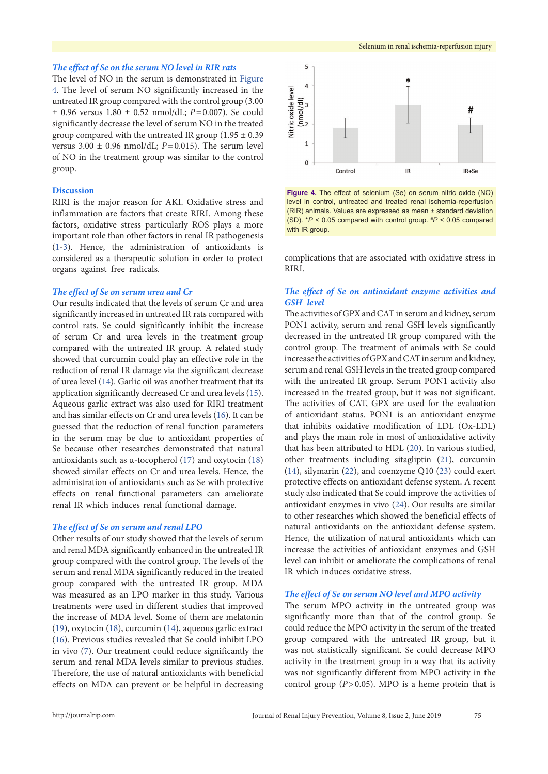# *The effect of Se on the serum NO level in RIR rats*

The level of NO in the serum is demonstrated in [Figure](#page-4-0) [4](#page-4-0). The level of serum NO significantly increased in the untreated IR group compared with the control group (3.00 ± 0.96 versus 1.80 ± 0.52 nmol/dL; *P*=0.007). Se could significantly decrease the level of serum NO in the treated group compared with the untreated IR group  $(1.95 \pm 0.39)$ versus  $3.00 \pm 0.96$  nmol/dL;  $P=0.015$ ). The serum level of NO in the treatment group was similar to the control group.

#### **Discussion**

RIRI is the major reason for AKI. Oxidative stress and inflammation are factors that create RIRI. Among these factors, oxidative stress particularly ROS plays a more important role than other factors in renal IR pathogenesis [\(1-](#page-5-0)[3](#page-5-2)). Hence, the administration of antioxidants is considered as a therapeutic solution in order to protect organs against free radicals.

#### *The effect of Se on serum urea and Cr*

Our results indicated that the levels of serum Cr and urea significantly increased in untreated IR rats compared with control rats. Se could significantly inhibit the increase of serum Cr and urea levels in the treatment group compared with the untreated IR group. A related study showed that curcumin could play an effective role in the reduction of renal IR damage via the significant decrease of urea level ([14](#page-5-13)). Garlic oil was another treatment that its application significantly decreased Cr and urea levels ([15\)](#page-5-14). Aqueous garlic extract was also used for RIRI treatment and has similar effects on Cr and urea levels [\(16\)](#page-6-0). It can be guessed that the reduction of renal function parameters in the serum may be due to antioxidant properties of Se because other researches demonstrated that natural antioxidants such as α-tocopherol ([17](#page-6-1)) and oxytocin [\(18\)](#page-6-2) showed similar effects on Cr and urea levels. Hence, the administration of antioxidants such as Se with protective effects on renal functional parameters can ameliorate renal IR which induces renal functional damage.

#### *The effect of Se on serum and renal LPO*

Other results of our study showed that the levels of serum and renal MDA significantly enhanced in the untreated IR group compared with the control group. The levels of the serum and renal MDA significantly reduced in the treated group compared with the untreated IR group. MDA was measured as an LPO marker in this study. Various treatments were used in different studies that improved the increase of MDA level. Some of them are melatonin [\(19\)](#page-6-3), oxytocin ([18](#page-6-2)), curcumin [\(14\)](#page-5-13), aqueous garlic extract [\(16\)](#page-6-0). Previous studies revealed that Se could inhibit LPO in vivo [\(7](#page-5-6)). Our treatment could reduce significantly the serum and renal MDA levels similar to previous studies. Therefore, the use of natural antioxidants with beneficial effects on MDA can prevent or be helpful in decreasing

<span id="page-4-0"></span>

**Figure 4.** The effect of selenium (Se) on serum nitric oxide (NO) level in control, untreated and treated renal ischemia-reperfusion (RIR) animals. Values are expressed as mean ± standard deviation (SD). \**P* < 0.05 compared with control group. # *P* < 0.05 compared with IR group.

complications that are associated with oxidative stress in RIRI.

# *The effect of Se on antioxidant enzyme activities and GSH level*

The activities of GPX and CAT in serum and kidney, serum PON1 activity, serum and renal GSH levels significantly decreased in the untreated IR group compared with the control group. The treatment of animals with Se could increase the activities of GPX and CAT in serum and kidney, serum and renal GSH levels in the treated group compared with the untreated IR group. Serum PON1 activity also increased in the treated group, but it was not significant. The activities of CAT, GPX are used for the evaluation of antioxidant status. PON1 is an antioxidant enzyme that inhibits oxidative modification of LDL (Ox-LDL) and plays the main role in most of antioxidative activity that has been attributed to HDL [\(20\)](#page-6-4). In various studied, other treatments including sitagliptin [\(21\)](#page-6-5), curcumin [\(14](#page-5-13)), silymarin ([22](#page-6-6)), and coenzyme Q10 [\(23](#page-6-7)) could exert protective effects on antioxidant defense system. A recent study also indicated that Se could improve the activities of antioxidant enzymes in vivo [\(24\)](#page-6-8). Our results are similar to other researches which showed the beneficial effects of natural antioxidants on the antioxidant defense system. Hence, the utilization of natural antioxidants which can increase the activities of antioxidant enzymes and GSH level can inhibit or ameliorate the complications of renal IR which induces oxidative stress.

# *The effect of Se on serum NO level and MPO activity*

The serum MPO activity in the untreated group was significantly more than that of the control group. Se could reduce the MPO activity in the serum of the treated group compared with the untreated IR group, but it was not statistically significant. Se could decrease MPO activity in the treatment group in a way that its activity was not significantly different from MPO activity in the control group  $(P>0.05)$ . MPO is a heme protein that is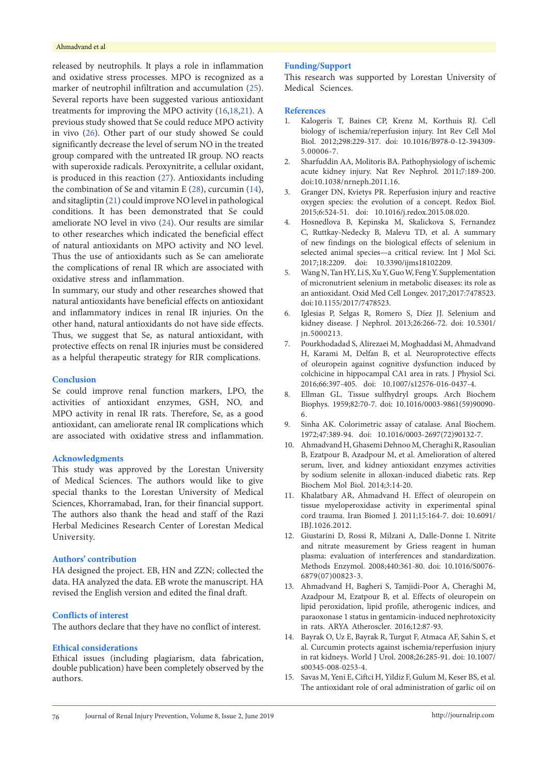#### Ahmadvand et al

released by neutrophils. It plays a role in inflammation and oxidative stress processes. MPO is recognized as a marker of neutrophil infiltration and accumulation ([25\)](#page-6-9). Several reports have been suggested various antioxidant treatments for improving the MPO activity [\(16](#page-6-0)[,18](#page-6-2)[,21\)](#page-6-5). A previous study showed that Se could reduce MPO activity in vivo [\(26\)](#page-6-10). Other part of our study showed Se could significantly decrease the level of serum NO in the treated group compared with the untreated IR group. NO reacts with superoxide radicals. Peroxynitrite, a cellular oxidant, is produced in this reaction [\(27\)](#page-6-11). Antioxidants including the combination of Se and vitamin E [\(28](#page-6-12)), curcumin ([14\)](#page-5-13), and sitagliptin [\(21\)](#page-6-5) could improve NO level in pathological conditions. It has been demonstrated that Se could ameliorate NO level in vivo ([24\)](#page-6-8). Our results are similar to other researches which indicated the beneficial effect of natural antioxidants on MPO activity and NO level. Thus the use of antioxidants such as Se can ameliorate the complications of renal IR which are associated with oxidative stress and inflammation.

In summary, our study and other researches showed that natural antioxidants have beneficial effects on antioxidant and inflammatory indices in renal IR injuries. On the other hand, natural antioxidants do not have side effects. Thus, we suggest that Se, as natural antioxidant, with protective effects on renal IR injuries must be considered as a helpful therapeutic strategy for RIR complications.

#### **Conclusion**

Se could improve renal function markers, LPO, the activities of antioxidant enzymes, GSH, NO, and MPO activity in renal IR rats. Therefore, Se, as a good antioxidant, can ameliorate renal IR complications which are associated with oxidative stress and inflammation.

#### **Acknowledgments**

This study was approved by the Lorestan University of Medical Sciences. The authors would like to give special thanks to the Lorestan University of Medical Sciences, Khorramabad, Iran, for their financial support. The authors also thank the head and staff of the Razi Herbal Medicines Research Center of Lorestan Medical University.

#### **Authors' contribution**

HA designed the project. EB, HN and ZZN; collected the data. HA analyzed the data. EB wrote the manuscript. HA revised the English version and edited the final draft.

#### **Conflicts of interest**

The authors declare that they have no conflict of interest.

### **Ethical considerations**

Ethical issues (including plagiarism, data fabrication, double publication) have been completely observed by the authors.

# **Funding/Support**

This research was supported by Lorestan University of Medical Sciences.

#### **References**

- <span id="page-5-0"></span>1. Kalogeris T, Baines CP, Krenz M, Korthuis RJ. Cell biology of ischemia/reperfusion injury. Int Rev Cell Mol Biol. 2012;298:229-317. doi: 10.1016/B978-0-12-394309- 5.00006-7.
- <span id="page-5-1"></span>2. Sharfuddin AA, Molitoris BA. Pathophysiology of ischemic acute kidney injury. Nat Rev Nephrol. 2011;7:189-200. doi:10.1038/nrneph.2011.16.
- <span id="page-5-2"></span>3. Granger DN, Kvietys PR. Reperfusion injury and reactive oxygen species: the evolution of a concept. Redox Biol. 2015;6:524-51. doi: 10.1016/j.redox.2015.08.020.
- <span id="page-5-3"></span>4. Hosnedlova B, Kepinska M, Skalickova S, Fernandez C, Ruttkay-Nedecky B, Malevu TD, et al. A summary of new findings on the biological effects of selenium in selected animal species—a critical review. Int J Mol Sci. 2017;18:2209. doi: 10.3390/ijms18102209.
- <span id="page-5-4"></span>5. Wang N, Tan HY, Li S, Xu Y, Guo W, Feng Y. Supplementation of micronutrient selenium in metabolic diseases: its role as an antioxidant. Oxid Med Cell Longev. 2017;2017:7478523. doi: 10.1155/2017/7478523.
- <span id="page-5-5"></span>6. Iglesias P, Selgas R, Romero S, Díez JJ. Selenium and kidney disease. J Nephrol. 2013;26:266-72. doi: 10.5301/ jn.5000213.
- <span id="page-5-6"></span>7. Pourkhodadad S, Alirezaei M, Moghaddasi M, Ahmadvand H, Karami M, Delfan B, et al. Neuroprotective effects of oleuropein against cognitive dysfunction induced by colchicine in hippocampal CA1 area in rats. J Physiol Sci. 2016;66:397-405. doi: 10.1007/s12576-016-0437-4.
- <span id="page-5-7"></span>8. Ellman GL. Tissue sulfhydryl groups. Arch Biochem Biophys. 1959;82:70-7. doi: 10.1016/0003-9861(59)90090- 6.
- <span id="page-5-8"></span>9. Sinha AK. Colorimetric assay of catalase. Anal Biochem. 1972;47:389-94. doi: 10.1016/0003-2697(72)90132-7.
- <span id="page-5-9"></span>10. Ahmadvand H, Ghasemi Dehnoo M, Cheraghi R, Rasoulian B, Ezatpour B, Azadpour M, et al. Amelioration of altered serum, liver, and kidney antioxidant enzymes activities by sodium selenite in alloxan-induced diabetic rats. Rep Biochem Mol Biol. 2014;3:14-20.
- <span id="page-5-10"></span>11. Khalatbary AR, Ahmadvand H. Effect of oleuropein on tissue myeloperoxidase activity in experimental spinal cord trauma. Iran Biomed J. 2011;15:164-7. doi: 10.6091/ IBJ.1026.2012.
- <span id="page-5-11"></span>12. Giustarini D, Rossi R, Milzani A, Dalle‐Donne I. Nitrite and nitrate measurement by Griess reagent in human plasma: evaluation of interferences and standardization. Methods Enzymol. 2008;440:361-80. doi: 10.1016/S0076- 6879(07)00823-3.
- <span id="page-5-12"></span>13. Ahmadvand H, Bagheri S, Tamjidi-Poor A, Cheraghi M, Azadpour M, Ezatpour B, et al. Effects of oleuropein on lipid peroxidation, lipid profile, atherogenic indices, and paraoxonase 1 status in gentamicin-induced nephrotoxicity in rats. ARYA Atheroscler. 2016;12:87-93.
- <span id="page-5-13"></span>14. Bayrak O, Uz E, Bayrak R, Turgut F, Atmaca AF, Sahin S, et al. Curcumin protects against ischemia/reperfusion injury in rat kidneys. World J Urol. 2008;26:285-91. doi: 10.1007/ s00345-008-0253-4.
- <span id="page-5-14"></span>15. Savas M, Yeni E, Ciftci H, Yildiz F, Gulum M, Keser BS, et al. The antioxidant role of oral administration of garlic oil on